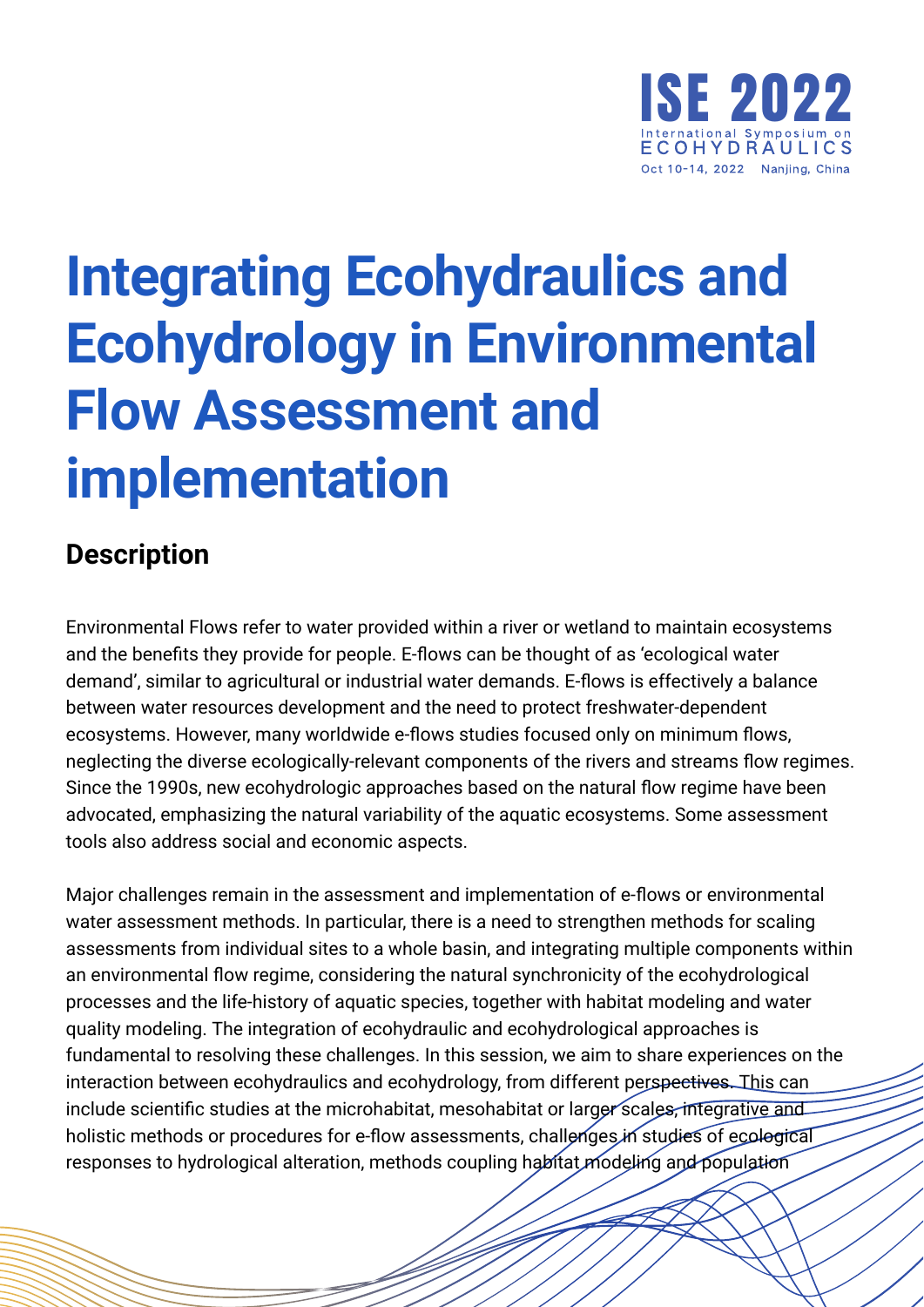

## **Integrating Ecohydraulics and Ecohydrology in Environmental Flow Assessment and implementation**

## **Description**

Environmental Flows refer to water provided within a river or wetland to maintain ecosystems and the benefits they provide for people. E-flows can be thought of as 'ecological water demand', similar to agricultural or industrial water demands. E-flows is effectively a balance between water resources development and the need to protect freshwater-dependent ecosystems. However, many worldwide e-flows studies focused only on minimum flows, neglecting the diverse ecologically-relevant components of the rivers and streams flow regimes. Since the 1990s, new ecohydrologic approaches based on the natural flow regime have been advocated, emphasizing the natural variability of the aquatic ecosystems. Some assessment tools also address social and economic aspects.

Major challenges remain in the assessment and implementation of e-flows or environmental water assessment methods. In particular, there is a need to strengthen methods for scaling assessments from individual sites to a whole basin, and integrating multiple components within an environmental flow regime, considering the natural synchronicity of the ecohydrological processes and the life-history of aquatic species, together with habitat modeling and water quality modeling. The integration of ecohydraulic and ecohydrological approaches is fundamental to resolving these challenges. In this session, we aim to share experiences on the interaction between ecohydraulics and ecohydrology, from different perspectives. This can include scientific studies at the microhabitat, mesohabitat or larger scales, integrative and holistic methods or procedures for e-flow assessments, challenges in studies of ecological responses to hydrological alteration, methods coupling habitat modeling and population